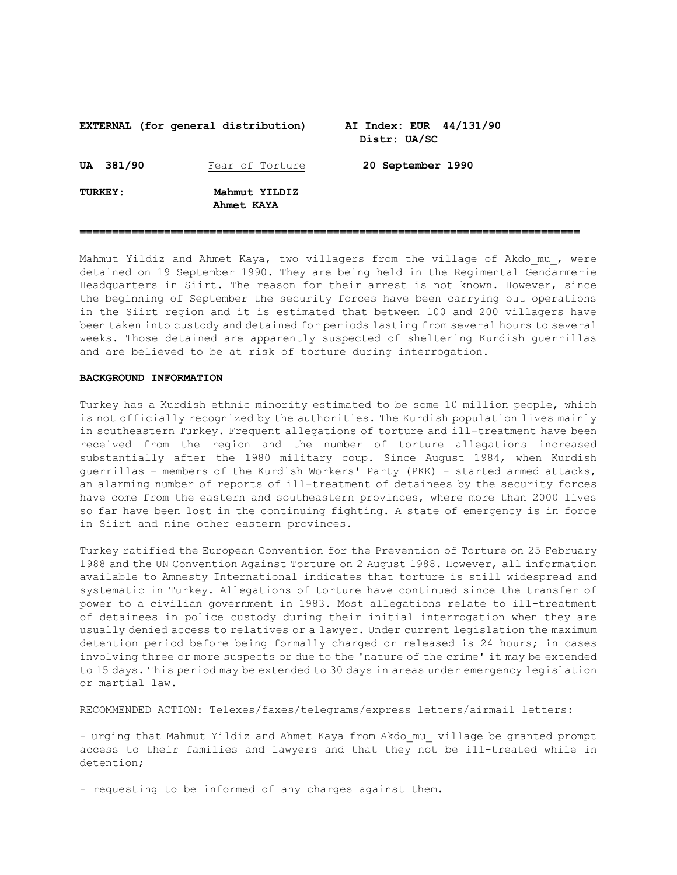## **EXTERNAL (for general distribution) AI Index: EUR 44/131/90 Distr: UA/SC UA 381/90** Fear of Torture **20 September 1990 TURKEY: Mahmut YILDIZ Ahmet KAYA**

Mahmut Yildiz and Ahmet Kaya, two villagers from the village of Akdo mu, were detained on 19 September 1990. They are being held in the Regimental Gendarmerie Headquarters in Siirt. The reason for their arrest is not known. However, since the beginning of September the security forces have been carrying out operations in the Siirt region and it is estimated that between 100 and 200 villagers have been taken into custody and detained for periods lasting from several hours to several weeks. Those detained are apparently suspected of sheltering Kurdish guerrillas and are believed to be at risk of torture during interrogation.

**=============================================================================**

## **BACKGROUND INFORMATION**

Turkey has a Kurdish ethnic minority estimated to be some 10 million people, which is not officially recognized by the authorities. The Kurdish population lives mainly in southeastern Turkey. Frequent allegations of torture and ill-treatment have been received from the region and the number of torture allegations increased substantially after the 1980 military coup. Since August 1984, when Kurdish guerrillas - members of the Kurdish Workers' Party (PKK) - started armed attacks, an alarming number of reports of ill-treatment of detainees by the security forces have come from the eastern and southeastern provinces, where more than 2000 lives so far have been lost in the continuing fighting. A state of emergency is in force in Siirt and nine other eastern provinces.

Turkey ratified the European Convention for the Prevention of Torture on 25 February 1988 and the UN Convention Against Torture on 2 August 1988. However, all information available to Amnesty International indicates that torture is still widespread and systematic in Turkey. Allegations of torture have continued since the transfer of power to a civilian government in 1983. Most allegations relate to ill-treatment of detainees in police custody during their initial interrogation when they are usually denied access to relatives or a lawyer. Under current legislation the maximum detention period before being formally charged or released is 24 hours; in cases involving three or more suspects or due to the 'nature of the crime' it may be extended to 15 days. This period may be extended to 30 days in areas under emergency legislation or martial law.

RECOMMENDED ACTION: Telexes/faxes/telegrams/express letters/airmail letters:

- urging that Mahmut Yildiz and Ahmet Kaya from Akdo\_mu\_ village be granted prompt access to their families and lawyers and that they not be ill-treated while in detention;

- requesting to be informed of any charges against them.